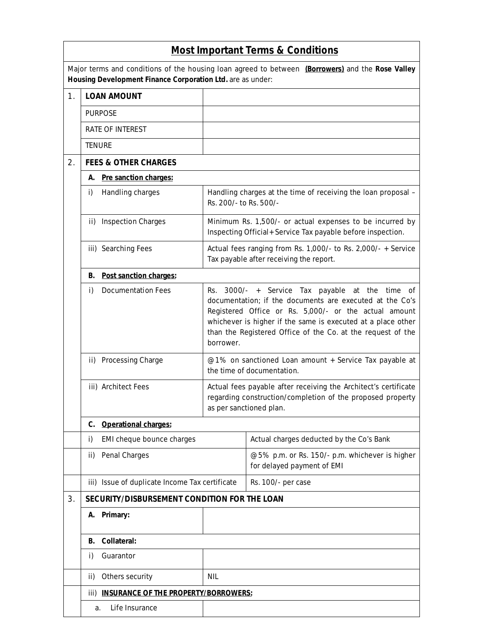| <b>Most Important Terms &amp; Conditions</b>                                                                                                                   |                                                     |            |                                                                                                                                                                                                                                                                                                                                                                                                                                                                                                                                                         |  |  |  |  |
|----------------------------------------------------------------------------------------------------------------------------------------------------------------|-----------------------------------------------------|------------|---------------------------------------------------------------------------------------------------------------------------------------------------------------------------------------------------------------------------------------------------------------------------------------------------------------------------------------------------------------------------------------------------------------------------------------------------------------------------------------------------------------------------------------------------------|--|--|--|--|
| Major terms and conditions of the housing loan agreed to between (Borrowers) and the Rose Valley<br>Housing Development Finance Corporation Ltd. are as under: |                                                     |            |                                                                                                                                                                                                                                                                                                                                                                                                                                                                                                                                                         |  |  |  |  |
| 1.                                                                                                                                                             | <b>LOAN AMOUNT</b>                                  |            |                                                                                                                                                                                                                                                                                                                                                                                                                                                                                                                                                         |  |  |  |  |
|                                                                                                                                                                | <b>PURPOSE</b>                                      |            |                                                                                                                                                                                                                                                                                                                                                                                                                                                                                                                                                         |  |  |  |  |
|                                                                                                                                                                | <b>RATE OF INTEREST</b>                             |            |                                                                                                                                                                                                                                                                                                                                                                                                                                                                                                                                                         |  |  |  |  |
|                                                                                                                                                                | <b>TENURE</b>                                       |            |                                                                                                                                                                                                                                                                                                                                                                                                                                                                                                                                                         |  |  |  |  |
| 2.                                                                                                                                                             | <b>FEES &amp; OTHER CHARGES</b>                     |            |                                                                                                                                                                                                                                                                                                                                                                                                                                                                                                                                                         |  |  |  |  |
|                                                                                                                                                                | A. Pre sanction charges:                            |            |                                                                                                                                                                                                                                                                                                                                                                                                                                                                                                                                                         |  |  |  |  |
|                                                                                                                                                                | Handling charges<br>i)                              |            | Handling charges at the time of receiving the loan proposal -<br>Rs. 200/- to Rs. 500/-                                                                                                                                                                                                                                                                                                                                                                                                                                                                 |  |  |  |  |
|                                                                                                                                                                | ii) Inspection Charges                              |            | Minimum Rs. 1,500/- or actual expenses to be incurred by<br>Inspecting Official+ Service Tax payable before inspection.                                                                                                                                                                                                                                                                                                                                                                                                                                 |  |  |  |  |
|                                                                                                                                                                | iii) Searching Fees                                 |            | Actual fees ranging from Rs. 1,000/- to Rs. 2,000/- + Service<br>Tax payable after receiving the report.                                                                                                                                                                                                                                                                                                                                                                                                                                                |  |  |  |  |
|                                                                                                                                                                | Post sanction charges:<br>В.                        |            |                                                                                                                                                                                                                                                                                                                                                                                                                                                                                                                                                         |  |  |  |  |
|                                                                                                                                                                | <b>Documentation Fees</b><br>i)                     | borrower.  | Rs. 3000/- + Service Tax payable at the time of<br>documentation; if the documents are executed at the Co's<br>Registered Office or Rs. 5,000/- or the actual amount<br>whichever is higher if the same is executed at a place other<br>than the Registered Office of the Co. at the request of the<br>@1% on sanctioned Loan amount + Service Tax payable at<br>the time of documentation.<br>Actual fees payable after receiving the Architect's certificate<br>regarding construction/completion of the proposed property<br>as per sanctioned plan. |  |  |  |  |
|                                                                                                                                                                | ii) Processing Charge                               |            |                                                                                                                                                                                                                                                                                                                                                                                                                                                                                                                                                         |  |  |  |  |
|                                                                                                                                                                | iii) Architect Fees                                 |            |                                                                                                                                                                                                                                                                                                                                                                                                                                                                                                                                                         |  |  |  |  |
|                                                                                                                                                                | <b>Operational charges:</b><br>C.                   |            |                                                                                                                                                                                                                                                                                                                                                                                                                                                                                                                                                         |  |  |  |  |
|                                                                                                                                                                | EMI cheque bounce charges<br>i)                     |            | Actual charges deducted by the Co's Bank                                                                                                                                                                                                                                                                                                                                                                                                                                                                                                                |  |  |  |  |
|                                                                                                                                                                | Penal Charges<br>ii)                                |            | @5% p.m. or Rs. 150/- p.m. whichever is higher<br>for delayed payment of EMI                                                                                                                                                                                                                                                                                                                                                                                                                                                                            |  |  |  |  |
|                                                                                                                                                                | iii) Issue of duplicate Income Tax certificate      |            | Rs. 100/- per case                                                                                                                                                                                                                                                                                                                                                                                                                                                                                                                                      |  |  |  |  |
| 3.                                                                                                                                                             | SECURITY/DISBURSEMENT CONDITION FOR THE LOAN        |            |                                                                                                                                                                                                                                                                                                                                                                                                                                                                                                                                                         |  |  |  |  |
|                                                                                                                                                                | Primary:<br>А.                                      |            |                                                                                                                                                                                                                                                                                                                                                                                                                                                                                                                                                         |  |  |  |  |
|                                                                                                                                                                | Collateral:<br>В.                                   |            |                                                                                                                                                                                                                                                                                                                                                                                                                                                                                                                                                         |  |  |  |  |
|                                                                                                                                                                | Guarantor<br>i)                                     |            |                                                                                                                                                                                                                                                                                                                                                                                                                                                                                                                                                         |  |  |  |  |
|                                                                                                                                                                | Others security<br>ii)                              | <b>NIL</b> |                                                                                                                                                                                                                                                                                                                                                                                                                                                                                                                                                         |  |  |  |  |
|                                                                                                                                                                | <b>INSURANCE OF THE PROPERTY/BORROWERS:</b><br>iii) |            |                                                                                                                                                                                                                                                                                                                                                                                                                                                                                                                                                         |  |  |  |  |
|                                                                                                                                                                | Life Insurance<br>a.                                |            |                                                                                                                                                                                                                                                                                                                                                                                                                                                                                                                                                         |  |  |  |  |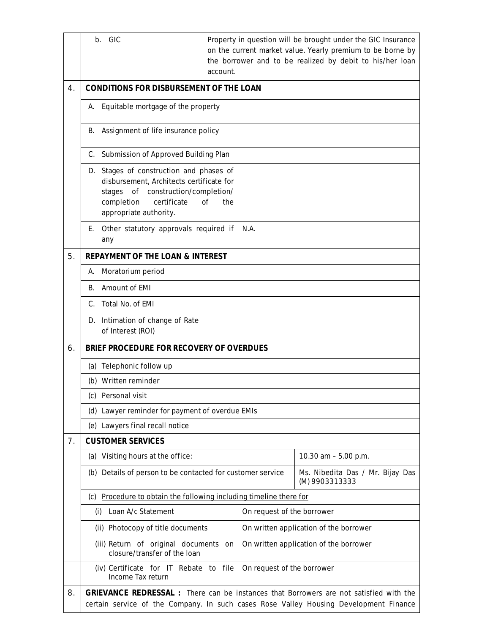|    | b. GIC                                                                                                                                                                                                  | Property in question will be brought under the GIC Insurance<br>on the current market value. Yearly premium to be borne by<br>the borrower and to be realized by debit to his/her loan<br>account. |                                        |                                                    |  |  |
|----|---------------------------------------------------------------------------------------------------------------------------------------------------------------------------------------------------------|----------------------------------------------------------------------------------------------------------------------------------------------------------------------------------------------------|----------------------------------------|----------------------------------------------------|--|--|
| 4. | <b>CONDITIONS FOR DISBURSEMENT OF THE LOAN</b>                                                                                                                                                          |                                                                                                                                                                                                    |                                        |                                                    |  |  |
|    | Equitable mortgage of the property<br>А.                                                                                                                                                                |                                                                                                                                                                                                    |                                        |                                                    |  |  |
|    | Assignment of life insurance policy<br>В.                                                                                                                                                               |                                                                                                                                                                                                    |                                        |                                                    |  |  |
|    | Submission of Approved Building Plan<br>C.                                                                                                                                                              |                                                                                                                                                                                                    |                                        |                                                    |  |  |
|    | Stages of construction and phases of<br>D.<br>disbursement, Architects certificate for<br>stages of construction/completion/<br>certificate<br>completion<br>the<br><b>of</b><br>appropriate authority. |                                                                                                                                                                                                    |                                        |                                                    |  |  |
|    | Other statutory approvals required if<br>Е.<br>any                                                                                                                                                      |                                                                                                                                                                                                    | N.A.                                   |                                                    |  |  |
| 5. | <b>REPAYMENT OF THE LOAN &amp; INTEREST</b>                                                                                                                                                             |                                                                                                                                                                                                    |                                        |                                                    |  |  |
|    | Moratorium period<br>А.                                                                                                                                                                                 |                                                                                                                                                                                                    |                                        |                                                    |  |  |
|    | Amount of EMI<br>В.                                                                                                                                                                                     |                                                                                                                                                                                                    |                                        |                                                    |  |  |
|    | Total No. of EMI<br>C.                                                                                                                                                                                  |                                                                                                                                                                                                    |                                        |                                                    |  |  |
|    | Intimation of change of Rate<br>D.<br>of Interest (ROI)                                                                                                                                                 |                                                                                                                                                                                                    |                                        |                                                    |  |  |
| 6. | BRIEF PROCEDURE FOR RECOVERY OF OVERDUES                                                                                                                                                                |                                                                                                                                                                                                    |                                        |                                                    |  |  |
|    | (a) Telephonic follow up                                                                                                                                                                                |                                                                                                                                                                                                    |                                        |                                                    |  |  |
|    | (b) Written reminder                                                                                                                                                                                    |                                                                                                                                                                                                    |                                        |                                                    |  |  |
|    | Personal visit<br>(C).                                                                                                                                                                                  |                                                                                                                                                                                                    |                                        |                                                    |  |  |
|    | (d) Lawyer reminder for payment of overdue EMIs                                                                                                                                                         |                                                                                                                                                                                                    |                                        |                                                    |  |  |
|    | (e) Lawyers final recall notice                                                                                                                                                                         |                                                                                                                                                                                                    |                                        |                                                    |  |  |
| 7. | <b>CUSTOMER SERVICES</b>                                                                                                                                                                                |                                                                                                                                                                                                    |                                        |                                                    |  |  |
|    | (a) Visiting hours at the office:                                                                                                                                                                       |                                                                                                                                                                                                    |                                        | 10.30 am - 5.00 p.m.                               |  |  |
|    | (b) Details of person to be contacted for customer service                                                                                                                                              |                                                                                                                                                                                                    |                                        | Ms. Nibedita Das / Mr. Bijay Das<br>(M) 9903313333 |  |  |
|    | Procedure to obtain the following including timeline there for<br>(c)                                                                                                                                   |                                                                                                                                                                                                    |                                        |                                                    |  |  |
|    | Loan A/c Statement<br>(i)                                                                                                                                                                               |                                                                                                                                                                                                    | On request of the borrower             |                                                    |  |  |
|    | (ii) Photocopy of title documents                                                                                                                                                                       |                                                                                                                                                                                                    | On written application of the borrower |                                                    |  |  |
|    | (iii) Return of original documents on<br>closure/transfer of the loan                                                                                                                                   |                                                                                                                                                                                                    | On written application of the borrower |                                                    |  |  |
|    | (iv) Certificate for IT Rebate to file<br>Income Tax return                                                                                                                                             |                                                                                                                                                                                                    | On request of the borrower             |                                                    |  |  |
| 8. | GRIEVANCE REDRESSAL : There can be instances that Borrowers are not satisfied with the<br>certain service of the Company. In such cases Rose Valley Housing Development Finance                         |                                                                                                                                                                                                    |                                        |                                                    |  |  |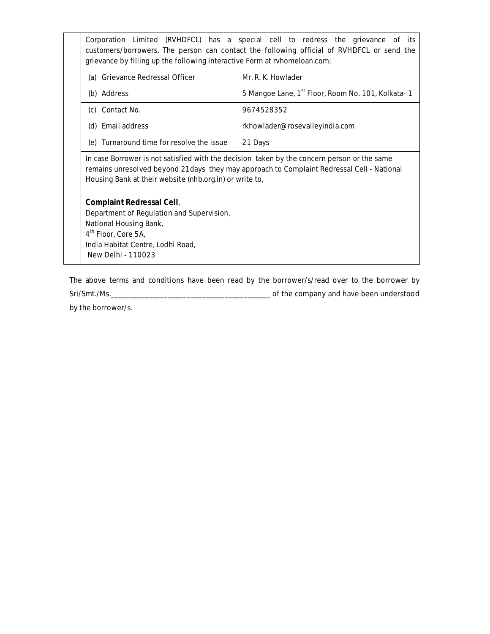Corporation Limited (RVHDFCL) has a special cell to redress the grievance of its customers/borrowers. The person can contact the following official of RVHDFCL or send the grievance by filling up the following interactive Form at rvhomeloan.com; (a) Grievance Redressal Officer Mr. R. K. Howlader (b) Address **5 Mangoe Lane, 1st Floor, Room No. 101, Kolkata- 1** (c) Contact No. 9674528352 (d) Email address research [rkhowlader@rosevalleyindia.com](mailto:rkhowlader@rosevalleyindia.com) (e) Turnaround time for resolve the issue 21 Days In case Borrower is not satisfied with the decision taken by the concern person or the same remains unresolved beyond 21days they may approach to Complaint Redressal Cell - National Housing Bank at their website (nhb.org.in) or write to, **Complaint Redressal Cell**, Department of Regulation and Supervision, National Housing Bank, 4<sup>th</sup> Floor, Core 5A, India Habitat Centre, Lodhi Road, New Delhi - 110023

The above terms and conditions have been read by the borrower/s/read over to the borrower by Sri/Smt./Ms.\_\_\_\_\_\_\_\_\_\_\_\_\_\_\_\_\_\_\_\_\_\_\_\_\_\_\_\_\_\_\_\_\_\_\_\_\_\_\_\_\_\_ of the company and have been understood

by the borrower/s.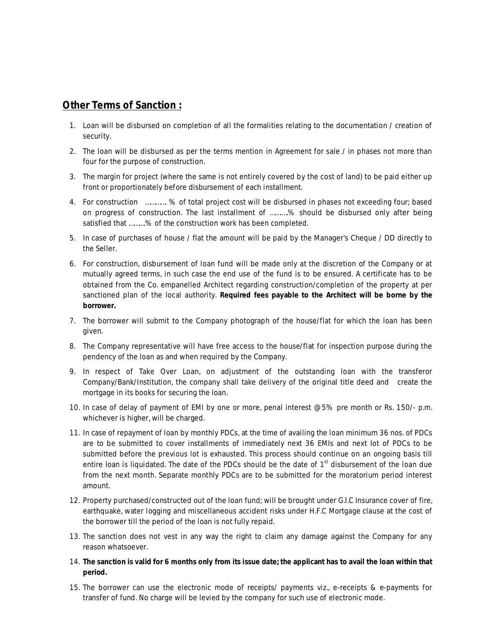## **Other Terms of Sanction :**

- 1. Loan will be disbursed on completion of all the formalities relating to the documentation / creation of security.
- 2. The loan will be disbursed as per the terms mention in Agreement for sale / in phases not more than four for the purpose of construction.
- 3. The margin for project (where the same is not entirely covered by the cost of land) to be paid either up front or proportionately before disbursement of each installment.
- 4. For construction …………. % of total project cost will be disbursed in phases not exceeding four; based on progress of construction. The last installment of …….….% should be disbursed only after being satisfied that ..........% of the construction work has been completed.
- 5. In case of purchases of house / flat the amount will be paid by the Manager's Cheque / DD directly to the Seller.
- 6. For construction, disbursement of loan fund will be made only at the discretion of the Company or at mutually agreed terms, in such case the end use of the fund is to be ensured. A certificate has to be obtained from the Co. empanelled Architect regarding construction/completion of the property at per sanctioned plan of the local authority. **Required fees payable to the Architect will be borne by the borrower.**
- 7. The borrower will submit to the Company photograph of the house/flat for which the loan has been given.
- 8. The Company representative will have free access to the house/flat for inspection purpose during the pendency of the loan as and when required by the Company.
- 9. In respect of Take Over Loan, on adjustment of the outstanding loan with the transferor Company/Bank/Institution, the company shall take delivery of the original title deed and create the mortgage in its books for securing the loan.
- 10. In case of delay of payment of EMI by one or more, penal interest @5% pre month or Rs. 150/- p.m. whichever is higher, will be charged.
- 11. In case of repayment of loan by monthly PDCs, at the time of availing the loan minimum 36 nos. of PDCs are to be submitted to cover installments of immediately next 36 EMIs and next lot of PDCs to be submitted before the previous lot is exhausted. This process should continue on an ongoing basis till entire loan is liquidated. The date of the PDCs should be the date of 1<sup>st</sup> disbursement of the loan due from the next month. Separate monthly PDCs are to be submitted for the moratorium period interest amount.
- 12. Property purchased/constructed out of the loan fund; will be brought under G.I.C Insurance cover of fire, earthquake, water logging and miscellaneous accident risks under H.F.C Mortgage clause at the cost of the borrower till the period of the loan is not fully repaid.
- 13. The sanction does not vest in any way the right to claim any damage against the Company for any reason whatsoever.
- 14. **The sanction is valid for 6 months only from its issue date; the applicant has to avail the loan within that period.**
- 15. The borrower can use the electronic mode of receipts/ payments viz., e-receipts & e-payments for transfer of fund. No charge will be levied by the company for such use of electronic mode.